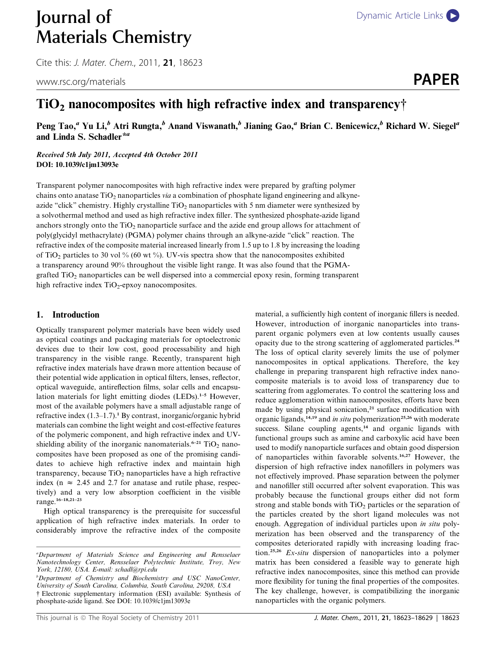# **Journal of** [Dynamic Article Links](http://dx.doi.org/10.1039/c1jm13093e) Materials Chemistry

Cite this: *J. Mater. Chem.*, 2011, **21**, 18623

www.rsc.org/materials **PAPER** 

## $TiO<sub>2</sub>$  nanocomposites with high refractive index and transparency†

Peng Tao,<sup>a</sup> Yu Li,<sup>b</sup> Atri Rungta,<sup>b</sup> Anand Viswanath,<sup>b</sup> Jianing Gao,<sup>a</sup> Brian C. Benicewicz,<sup>b</sup> Richard W. Siegel<sup>a</sup> and Linda S. Schadler<sup>\*a</sup>

Received 5th July 2011, Accepted 4th October 2011 DOI: 10.1039/c1jm13093e

Transparent polymer nanocomposites with high refractive index were prepared by grafting polymer chains onto anatase TiO<sub>2</sub> nanoparticles via a combination of phosphate ligand engineering and alkyneazide "click" chemistry. Highly crystalline  $TiO<sub>2</sub>$  nanoparticles with 5 nm diameter were synthesized by a solvothermal method and used as high refractive index filler. The synthesized phosphate-azide ligand anchors strongly onto the TiO<sub>2</sub> nanoparticle surface and the azide end group allows for attachment of poly(glycidyl methacrylate) (PGMA) polymer chains through an alkyne-azide "click" reaction. The refractive index of the composite material increased linearly from 1.5 up to 1.8 by increasing the loading of TiO<sub>2</sub> particles to 30 vol % (60 wt %). UV-vis spectra show that the nanocomposites exhibited a transparency around 90% throughout the visible light range. It was also found that the PGMAgrafted TiO<sub>2</sub> nanoparticles can be well dispersed into a commercial epoxy resin, forming transparent high refractive index  $TiO<sub>2</sub>$ -epxoy nanocomposites.

#### 1. Introduction

Optically transparent polymer materials have been widely used as optical coatings and packaging materials for optoelectronic devices due to their low cost, good processability and high transparency in the visible range. Recently, transparent high refractive index materials have drawn more attention because of their potential wide application in optical filters, lenses, reflector, optical waveguide, antireflection films, solar cells and encapsulation materials for light emitting diodes (LEDs).<sup>1-5</sup> However, most of the available polymers have a small adjustable range of refractive index  $(1.3-1.7)$ .<sup>1</sup> By contrast, inorganic/organic hybrid materials can combine the light weight and cost-effective features of the polymeric component, and high refractive index and UVshielding ability of the inorganic nanomaterials.<sup>6-21</sup> TiO<sub>2</sub> nanocomposites have been proposed as one of the promising candidates to achieve high refractive index and maintain high transparency, because  $TiO<sub>2</sub>$  nanoparticles have a high refractive index ( $n \approx 2.45$  and 2.7 for anatase and rutile phase, respectively) and a very low absorption coefficient in the visible range.16–18,21–23

High optical transparency is the prerequisite for successful application of high refractive index materials. In order to considerably improve the refractive index of the composite

material, a sufficiently high content of inorganic fillers is needed. However, introduction of inorganic nanoparticles into transparent organic polymers even at low contents usually causes opacity due to the strong scattering of agglomerated particles.<sup>24</sup> The loss of optical clarity severely limits the use of polymer nanocomposites in optical applications. Therefore, the key challenge in preparing transparent high refractive index nanocomposite materials is to avoid loss of transparency due to scattering from agglomerates. To control the scattering loss and reduce agglomeration within nanocomposites, efforts have been made by using physical sonication,<sup>21</sup> surface modification with organic ligands,<sup>14,19</sup> and *in situ* polymerization<sup>25,26</sup> with moderate success. Silane coupling agents,<sup>14</sup> and organic ligands with functional groups such as amine and carboxylic acid have been used to modify nanoparticle surfaces and obtain good dispersion of nanoparticles within favorable solvents.16,27 However, the dispersion of high refractive index nanofillers in polymers was not effectively improved. Phase separation between the polymer and nanofiller still occurred after solvent evaporation. This was probably because the functional groups either did not form strong and stable bonds with  $TiO<sub>2</sub>$  particles or the separation of the particles created by the short ligand molecules was not enough. Aggregation of individual particles upon in situ polymerization has been observed and the transparency of the composites deteriorated rapidly with increasing loading fraction.25,26 Ex-situ dispersion of nanoparticles into a polymer matrix has been considered a feasible way to generate high refractive index nanocomposites, since this method can provide more flexibility for tuning the final properties of the composites. The key challenge, however, is compatibilizing the inorganic nanoparticles with the organic polymers.

a Department of Materials Science and Engineering and Rensselaer Nanotechnology Center, Rensselaer Polytechnic Institute, Troy, New York, 12180, USA. E-mail: schadl@rpi.edu

<sup>&</sup>lt;sup>b</sup>Department of Chemistry and Biochemistry and USC NanoCenter, University of South Carolina, Columbia, South Carolina, 29208, USA † Electronic supplementary information (ESI) available: Synthesis of phosphate-azide ligand. See DOI: 10.1039/c1jm13093e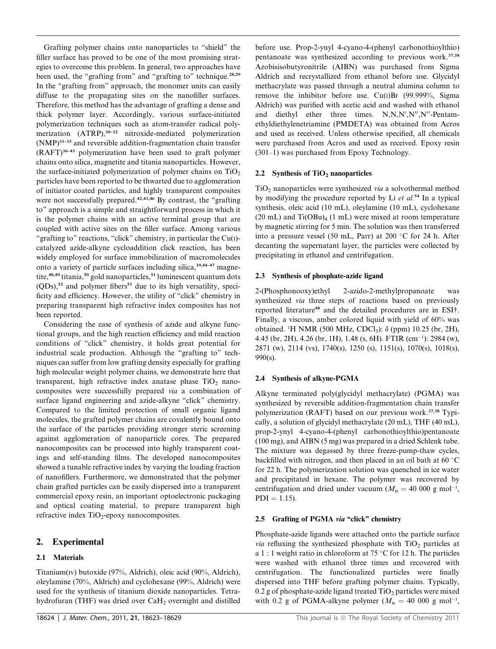Grafting polymer chains onto nanoparticles to ''shield'' the filler surface has proved to be one of the most promising strategies to overcome this problem. In general, two approaches have been used, the "grafting from" and "grafting to" technique.<sup>28,29</sup> In the "grafting from" approach, the monomer units can easily diffuse to the propagating sites on the nanofiller surfaces. Therefore, this method has the advantage of grafting a dense and thick polymer layer. Accordingly, various surface-initiated polymerization techniques such as atom-transfer radical polymerization  $(ATRP)$ ,<sup>30–32</sup> nitroxide-mediated polymerization (NMP)33–35 and reversible addition-fragmentation chain transfer  $(RAFT)^{36-43}$  polymerization have been used to graft polymer chains onto silica, magnetite and titania nanoparticles. However, the surface-initiated polymerization of polymer chains on  $TiO<sub>2</sub>$ particles have been reported to be thwarted due to agglomeration of initiator coated particles, and highly transparent composites were not successfully prepared.<sup>42,43,46</sup> By contrast, the "grafting" to'' approach is a simple and straightforward process in which it is the polymer chains with an active terminal group that are coupled with active sites on the filler surface. Among various "grafting to" reactions, "click" chemistry, in particular the  $Cu(I)$ catalyzed azide-alkyne cycloaddition click reaction, has been widely employed for surface immobilization of macromolecules onto a variety of particle surfaces including silica,<sup>39,44-47</sup> magnetite, $48,49$  titania,  $50$  gold nanoparticles,  $51$  luminescent quantum dots  $(QDs)$ ,<sup>52</sup> and polymer fibers<sup>53</sup> due to its high versatility, specificity and efficiency. However, the utility of ''click'' chemistry in preparing transparent high refractive index composites has not been reported.

Considering the ease of synthesis of azide and alkyne functional groups, and the high reaction efficiency and mild reaction conditions of ''click'' chemistry, it holds great potential for industrial scale production. Although the "grafting to" techniques can suffer from low grafting density especially for grafting high molecular weight polymer chains, we demonstrate here that transparent, high refractive index anatase phase  $TiO<sub>2</sub>$  nanocomposites were successfully prepared via a combination of surface ligand engineering and azide-alkyne ''click'' chemistry. Compared to the limited protection of small organic ligand molecules, the grafted polymer chains are covalently bound onto the surface of the particles providing stronger steric screening against agglomeration of nanoparticle cores. The prepared nanocomposites can be processed into highly transparent coatings and self-standing films. The developed nanocomposites showed a tunable refractive index by varying the loading fraction of nanofillers. Furthermore, we demonstrated that the polymer chain grafted particles can be easily dispersed into a transparent commercial epoxy resin, an important optoelectronic packaging and optical coating material, to prepare transparent high refractive index  $TiO<sub>2</sub>$ -epoxy nanocomposites.

### 2. Experimental

### 2.1 Materials

Titanium(IV) butoxide (97%, Aldrich), oleic acid (90%, Aldrich), oleylamine (70%, Aldrich) and cyclohexane (99%, Aldrich) were used for the synthesis of titanium dioxide nanoparticles. Tetrahydrofuran (THF) was dried over CaH<sub>2</sub> overnight and distilled

before use. Prop-2-ynyl 4-cyano-4-(phenyl carbonothioylthio) pentanoate was synthesized according to previous work.37,38 Azobisisobutyronitrile (AIBN) was purchased from Sigma Aldrich and recrystallized from ethanol before use. Glycidyl methacrylate was passed through a neutral alumina column to remove the inhibitor before use. Cu(I)Br (99.999%, Sigma Aldrich) was purified with acetic acid and washed with ethanol and diethyl ether three times.  $N, N, N', N'', N''$ -Pentamethyldiethylenetriamine (PMDETA) was obtained from Acros and used as received. Unless otherwise specified, all chemicals were purchased from Acros and used as received. Epoxy resin (301–1) was purchased from Epoxy Technology.

#### 2.2 Synthesis of  $TiO<sub>2</sub>$  nanoparticles

 $TiO<sub>2</sub>$  nanoparticles were synthesized via a solvothermal method by modifying the procedure reported by Li  $et$  al.<sup>54</sup> In a typical synthesis, oleic acid (10 mL), oleylamine (10 mL), cyclohexane (20 mL) and  $Ti(OBu)_{4}$  (1 mL) were mixed at room temperature by magnetic stirring for 5 min. The solution was then transferred into a pressure vessel (50 mL, Parr) at 200  $\degree$ C for 24 h. After decanting the supernatant layer, the particles were collected by precipitating in ethanol and centrifugation.

#### 2.3 Synthesis of phosphate-azide ligand

2-(Phosphonooxy)ethyl 2-azido-2-methylpropanoate was synthesized via three steps of reactions based on previously reported literature<sup>48</sup> and the detailed procedures are in ESI†. Finally, a viscous, amber colored liquid with yield of 60% was obtained. <sup>1</sup>H NMR (500 MHz, CDCl<sub>3</sub>):  $\delta$  (ppm) 10.25 (br, 2H), 4.45 (br, 2H), 4.26 (br, 1H), 1.48 (s, 6H). FTIR (cm<sup>-1</sup>): 2984 (w), 2871 (w), 2114 (vs), 1740(s), 1250 (s), 1151(s), 1070(s), 1018(s), 990(s).

#### 2.4 Synthesis of alkyne-PGMA

Alkyne terminated poly(glycidyl methacrylate) (PGMA) was synthesized by reversible addition-fragmentation chain transfer polymerization (RAFT) based on our previous work.<sup>37,38</sup> Typically, a solution of glycidyl methacrylate (20 mL), THF (40 mL), prop-2-ynyl 4-cyano-4-(phenyl carbonothioylthio)pentanoate (100 mg), and AIBN (5 mg) was prepared in a dried Schlenk tube. The mixture was degassed by three freeze-pump-thaw cycles, backfilled with nitrogen, and then placed in an oil bath at  $60^{\circ}$ C for 22 h. The polymerization solution was quenched in ice water and precipitated in hexane. The polymer was recovered by centrifugation and dried under vacuum ( $M_n = 40000 \text{ g mol}^{-1}$ ,  $PDI = 1.15$ .

#### 2.5 Grafting of PGMA via "click" chemistry

Phosphate-azide ligands were attached onto the particle surface *via* refluxing the synthesized phosphate with  $TiO<sub>2</sub>$  particles at a 1 : 1 weight ratio in chloroform at  $75^{\circ}$ C for 12 h. The particles were washed with ethanol three times and recovered with centrifugation. The functionalized particles were finally dispersed into THF before grafting polymer chains. Typically,  $0.2$  g of phosphate-azide ligand treated TiO<sub>2</sub> particles were mixed with 0.2 g of PGMA-alkyne polymer ( $M_n = 40\ 000\$ g mol<sup>-1</sup>,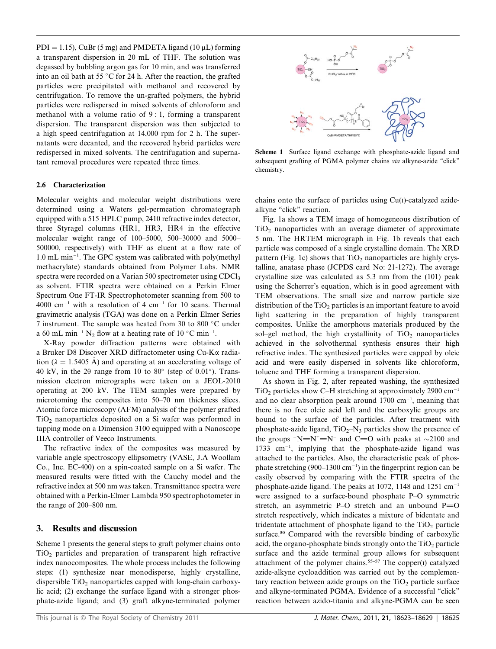$PDI = 1.15$ ), CuBr (5 mg) and PMDETA ligand (10 uL) forming a transparent dispersion in 20 mL of THF. The solution was degassed by bubbling argon gas for 10 min, and was transferred into an oil bath at 55  $^{\circ}$ C for 24 h. After the reaction, the grafted particles were precipitated with methanol and recovered by centrifugation. To remove the un-grafted polymers, the hybrid particles were redispersed in mixed solvents of chloroform and methanol with a volume ratio of 9 : 1, forming a transparent dispersion. The transparent dispersion was then subjected to a high speed centrifugation at 14,000 rpm for 2 h. The supernatants were decanted, and the recovered hybrid particles were redispersed in mixed solvents. The centrifugation and supernatant removal procedures were repeated three times.

#### 2.6 Characterization

Molecular weights and molecular weight distributions were determined using a Waters gel-permeation chromatograph equipped with a 515 HPLC pump, 2410 refractive index detector, three Styragel columns (HR1, HR3, HR4 in the effective molecular weight range of 100–5000, 500–30000 and 5000– 500000, respectively) with THF as eluent at a flow rate of  $1.0$  mL min<sup>-1</sup>. The GPC system was calibrated with poly(methyl methacrylate) standards obtained from Polymer Labs. NMR spectra were recorded on a Varian 500 spectrometer using CDCl<sub>3</sub> as solvent. FTIR spectra were obtained on a Perkin Elmer Spectrum One FT-IR Spectrophotometer scanning from 500 to  $4000 \text{ cm}^{-1}$  with a resolution of 4 cm<sup>-1</sup> for 10 scans. Thermal gravimetric analysis (TGA) was done on a Perkin Elmer Series 7 instrument. The sample was heated from 30 to 800 °C under a 60 mL min<sup>-1</sup> N<sub>2</sub> flow at a heating rate of 10  $^{\circ}$ C min<sup>-1</sup>.

X-Ray powder diffraction patterns were obtained with a Bruker D8 Discover XRD diffractometer using Cu-Ka radiation ( $\lambda = 1.5405$  Å) and operating at an accelerating voltage of 40 kV, in the 20 range from 10 to  $80^{\circ}$  (step of 0.01 $^{\circ}$ ). Transmission electron micrographs were taken on a JEOL-2010 operating at 200 kV. The TEM samples were prepared by microtoming the composites into 50–70 nm thickness slices. Atomic force microscopy (AFM) analysis of the polymer grafted TiO<sub>2</sub> nanoparticles deposited on a Si wafer was performed in tapping mode on a Dimension 3100 equipped with a Nanoscope IIIA controller of Veeco Instruments.

The refractive index of the composites was measured by variable angle spectroscopy ellipsometry (VASE, J.A Woollam Co., Inc. EC-400) on a spin-coated sample on a Si wafer. The measured results were fitted with the Cauchy model and the refractive index at 500 nm was taken. Transmittance spectra were obtained with a Perkin-Elmer Lambda 950 spectrophotometer in the range of 200–800 nm.

#### 3. Results and discussion

Scheme 1 presents the general steps to graft polymer chains onto  $TiO<sub>2</sub>$  particles and preparation of transparent high refractive index nanocomposites. The whole process includes the following steps: (1) synthesize near monodisperse, highly crystalline, dispersible  $TiO<sub>2</sub>$  nanoparticles capped with long-chain carboxylic acid; (2) exchange the surface ligand with a stronger phosphate-azide ligand; and (3) graft alkyne-terminated polymer



Scheme 1 Surface ligand exchange with phosphate-azide ligand and subsequent grafting of PGMA polymer chains via alkyne-azide "click" chemistry.

chains onto the surface of particles using Cu(I)-catalyzed azidealkyne "click" reaction.

Fig. 1a shows a TEM image of homogeneous distribution of  $TiO<sub>2</sub>$  nanoparticles with an average diameter of approximate 5 nm. The HRTEM micrograph in Fig. 1b reveals that each particle was composed of a single crystalline domain. The XRD pattern (Fig. 1c) shows that  $TiO<sub>2</sub>$  nanoparticles are highly crystalline, anatase phase (JCPDS card No: 21-1272). The average crystalline size was calculated as 5.3 nm from the (101) peak using the Scherrer's equation, which is in good agreement with TEM observations. The small size and narrow particle size distribution of the  $TiO<sub>2</sub>$  particles is an important feature to avoid light scattering in the preparation of highly transparent composites. Unlike the amorphous materials produced by the sol–gel method, the high crystallinity of  $TiO<sub>2</sub>$  nanoparticles achieved in the solvothermal synthesis ensures their high refractive index. The synthesized particles were capped by oleic acid and were easily dispersed in solvents like chloroform, toluene and THF forming a transparent dispersion.

As shown in Fig. 2, after repeated washing, the synthesized TiO<sub>2</sub> particles show C–H stretching at approximately 2900 cm<sup>-1</sup> and no clear absorption peak around  $1700 \text{ cm}^{-1}$ , meaning that there is no free oleic acid left and the carboxylic groups are bound to the surface of the particles. After treatment with phosphate-azide ligand,  $TiO<sub>2</sub>–N<sub>3</sub>$  particles show the presence of the groups  $-N=N^{\dagger}=N^{\dagger}$  and C=O with peaks at  $\sim 2100$  and  $1733 \text{ cm}^{-1}$ , implying that the phosphate-azide ligand was attached to the particles. Also, the characteristic peak of phosphate stretching (900–1300 cm<sup>-1</sup>) in the fingerprint region can be easily observed by comparing with the FTIR spectra of the phosphate-azide ligand. The peaks at 1072, 1148 and 1251 cm<sup>-1</sup> were assigned to a surface-bound phosphate P–O symmetric stretch, an asymmetric P–O stretch and an unbound  $P=O$ stretch respectively, which indicates a mixture of bidentate and tridentate attachment of phosphate ligand to the  $TiO<sub>2</sub>$  particle surface.<sup>50</sup> Compared with the reversible binding of carboxylic acid, the organo-phosphate binds strongly onto the  $TiO<sub>2</sub>$  particle surface and the azide terminal group allows for subsequent attachment of the polymer chains.55–57 The copper(I) catalyzed azide-alkyne cycloaddition was carried out by the complementary reaction between azide groups on the  $TiO<sub>2</sub>$  particle surface and alkyne-terminated PGMA. Evidence of a successful ''click'' reaction between azido-titania and alkyne-PGMA can be seen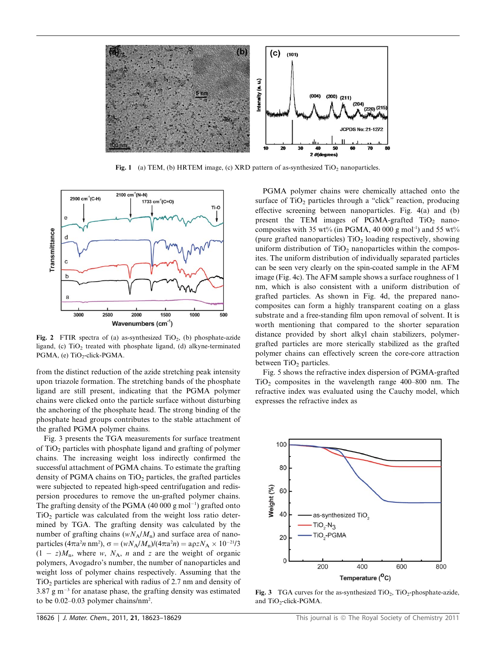

Fig. 1 (a) TEM, (b) HRTEM image, (c) XRD pattern of as-synthesized  $TiO<sub>2</sub>$  nanoparticles.



Fig. 2 FTIR spectra of (a) as-synthesized TiO<sub>2</sub>, (b) phosphate-azide ligand, (c)  $TiO<sub>2</sub>$  treated with phosphate ligand, (d) alkyne-terminated PGMA, (e) TiO<sub>2</sub>-click-PGMA.

from the distinct reduction of the azide stretching peak intensity upon triazole formation. The stretching bands of the phosphate ligand are still present, indicating that the PGMA polymer chains were clicked onto the particle surface without disturbing the anchoring of the phosphate head. The strong binding of the phosphate head groups contributes to the stable attachment of the grafted PGMA polymer chains.

Fig. 3 presents the TGA measurements for surface treatment of TiO2 particles with phosphate ligand and grafting of polymer chains. The increasing weight loss indirectly confirmed the successful attachment of PGMA chains. To estimate the grafting density of PGMA chains on  $TiO<sub>2</sub>$  particles, the grafted particles were subjected to repeated high-speed centrifugation and redispersion procedures to remove the un-grafted polymer chains. The grafting density of the PGMA  $(40 000 \text{ g mol}^{-1})$  grafted onto  $TiO<sub>2</sub>$  particle was calculated from the weight loss ratio determined by TGA. The grafting density was calculated by the number of grafting chains ( $wN_A/M_p$ ) and surface area of nanoparticles ( $4\pi a^2 n$  nm<sup>2</sup>),  $\sigma = (wN_A/M_n)/(4\pi a^2 n) = a\rho zN_A \times 10^{-21}/3$  $(1 - z)M_n$ , where w,  $N_A$ , n and z are the weight of organic polymers, Avogadro's number, the number of nanoparticles and weight loss of polymer chains respectively. Assuming that the  $TiO<sub>2</sub>$  particles are spherical with radius of 2.7 nm and density of  $3.87 \text{ g m}^{-3}$  for anatase phase, the grafting density was estimated to be 0.02–0.03 polymer chains/nm<sup>2</sup>.

PGMA polymer chains were chemically attached onto the surface of  $TiO<sub>2</sub>$  particles through a "click" reaction, producing effective screening between nanoparticles. Fig. 4(a) and (b) present the TEM images of PGMA-grafted  $TiO<sub>2</sub>$  nanocomposites with 35 wt% (in PGMA, 40 000 g mol<sup>-1</sup>) and 55 wt% (pure grafted nanoparticles)  $TiO<sub>2</sub>$  loading respectively, showing uniform distribution of  $TiO<sub>2</sub>$  nanoparticles within the composites. The uniform distribution of individually separated particles can be seen very clearly on the spin-coated sample in the AFM image (Fig. 4c). The AFM sample shows a surface roughness of 1 nm, which is also consistent with a uniform distribution of grafted particles. As shown in Fig. 4d, the prepared nanocomposites can form a highly transparent coating on a glass substrate and a free-standing film upon removal of solvent. It is worth mentioning that compared to the shorter separation distance provided by short alkyl chain stabilizers, polymergrafted particles are more sterically stabilized as the grafted polymer chains can effectively screen the core-core attraction between  $TiO<sub>2</sub>$  particles.

Fig. 5 shows the refractive index dispersion of PGMA-grafted  $TiO<sub>2</sub>$  composites in the wavelength range 400–800 nm. The refractive index was evaluated using the Cauchy model, which expresses the refractive index as



Fig. 3 TGA curves for the as-synthesized  $TiO<sub>2</sub>$ ,  $TiO<sub>2</sub>$ -phosphate-azide, and TiO<sub>2</sub>-click-PGMA.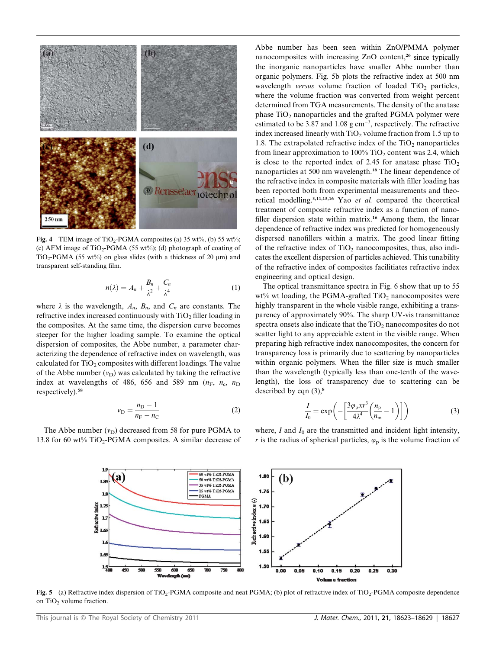

Fig. 4 TEM image of TiO<sub>2</sub>-PGMA composites (a) 35 wt%, (b) 55 wt%; (c) AFM image of TiO<sub>2</sub>-PGMA (55 wt%); (d) photograph of coating of TiO<sub>2</sub>-PGMA (55 wt<sup>%</sup>) on glass slides (with a thickness of 20  $\mu$ m) and transparent self-standing film.

$$
n(\lambda) = A_n + \frac{B_n}{\lambda^2} + \frac{C_n}{\lambda^4} \tag{1}
$$

where  $\lambda$  is the wavelength,  $A_n$ ,  $B_n$ , and  $C_n$  are constants. The refractive index increased continuously with  $TiO<sub>2</sub>$  filler loading in the composites. At the same time, the dispersion curve becomes steeper for the higher loading sample. To examine the optical dispersion of composites, the Abbe number, a parameter characterizing the dependence of refractive index on wavelength, was calculated for  $TiO<sub>2</sub>$  composites with different loadings. The value of the Abbe number  $(v_D)$  was calculated by taking the refractive index at wavelengths of 486, 656 and 589 nm  $(n<sub>F</sub>, n<sub>c</sub>, n<sub>D</sub>)$ respectively).<sup>58</sup>

$$
v_{\rm D} = \frac{n_{\rm D} - 1}{n_{\rm F} - n_{\rm C}}\tag{2}
$$

The Abbe number  $(v_D)$  decreased from 58 for pure PGMA to 13.8 for 60 wt%  $TiO<sub>2</sub>$ -PGMA composites. A similar decrease of

Abbe number has been seen within ZnO/PMMA polymer nanocomposites with increasing ZnO content,<sup>26</sup> since typically the inorganic nanoparticles have smaller Abbe number than organic polymers. Fig. 5b plots the refractive index at 500 nm wavelength *versus* volume fraction of loaded  $TiO<sub>2</sub>$  particles, where the volume fraction was converted from weight percent determined from TGA measurements. The density of the anatase phase  $TiO<sub>2</sub>$  nanoparticles and the grafted PGMA polymer were estimated to be 3.87 and 1.08  $g \text{ cm}^{-3}$ , respectively. The refractive index increased linearly with  $TiO<sub>2</sub>$  volume fraction from 1.5 up to 1.8. The extrapolated refractive index of the  $TiO<sub>2</sub>$  nanoparticles from linear approximation to  $100\%$  TiO<sub>2</sub> content was 2.4, which is close to the reported index of 2.45 for anatase phase  $TiO<sub>2</sub>$ nanoparticles at 500 nm wavelength.<sup>18</sup> The linear dependence of the refractive index in composite materials with filler loading has been reported both from experimental measurements and theoretical modelling.3,11,15,16 Yao et al. compared the theoretical treatment of composite refractive index as a function of nanofiller dispersion state within matrix.<sup>16</sup> Among them, the linear dependence of refractive index was predicted for homogeneously dispersed nanofillers within a matrix. The good linear fitting of the refractive index of  $TiO<sub>2</sub>$  nanocomposites, thus, also indicates the excellent dispersion of particles achieved. This tunability of the refractive index of composites facilitiates refractive index engineering and optical design.

The optical transmittance spectra in Fig. 6 show that up to 55  $wt\%$  wt loading, the PGMA-grafted TiO<sub>2</sub> nanocomposites were highly transparent in the whole visible range, exhibiting a transparency of approximately 90%. The sharp UV-vis transmittance spectra onsets also indicate that the  $TiO<sub>2</sub>$  nanocomposites do not scatter light to any appreciable extent in the visible range. When preparing high refractive index nanocomposites, the concern for transparency loss is primarily due to scattering by nanoparticles within organic polymers. When the filler size is much smaller than the wavelength (typically less than one-tenth of the wavelength), the loss of transparency due to scattering can be described by eqn  $(3)$ ,<sup>8</sup>

$$
\frac{I}{I_0} = \exp\left(-\left[\frac{3\varphi_{\rm p}xr^3}{4\lambda^4}\left(\frac{n_{\rm p}}{n_{\rm m}}-1\right)\right]\right) \tag{3}
$$

where, I and  $I_0$  are the transmitted and incident light intensity, r is the radius of spherical particles,  $\varphi_p$  is the volume fraction of



Fig. 5 (a) Refractive index dispersion of TiO<sub>2</sub>-PGMA composite and neat PGMA; (b) plot of refractive index of TiO<sub>2</sub>-PGMA composite dependence on TiO<sub>2</sub> volume fraction.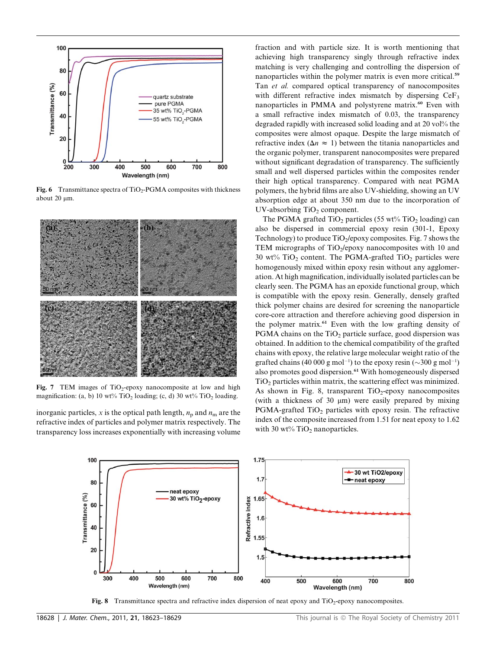

Fig. 6 Transmittance spectra of  $TiO<sub>2</sub>$ -PGMA composites with thickness about 20 um.



Fig. 7 TEM images of  $TiO<sub>2</sub>$ -epoxy nanocomposite at low and high magnification: (a, b) 10 wt% TiO<sub>2</sub> loading; (c, d) 30 wt% TiO<sub>2</sub> loading.

inorganic particles, x is the optical path length,  $n_p$  and  $n_m$  are the refractive index of particles and polymer matrix respectively. The transparency loss increases exponentially with increasing volume

fraction and with particle size. It is worth mentioning that achieving high transparency singly through refractive index matching is very challenging and controlling the dispersion of nanoparticles within the polymer matrix is even more critical.<sup>59</sup> Tan et al. compared optical transparency of nanocomposites with different refractive index mismatch by dispersing  $CeF_3$ nanoparticles in PMMA and polystyrene matrix.<sup>60</sup> Even with a small refractive index mismatch of 0.03, the transparency degraded rapidly with increased solid loading and at 20 vol% the composites were almost opaque. Despite the large mismatch of refractive index ( $\Delta n \approx 1$ ) between the titania nanoparticles and the organic polymer, transparent nanocomposites were prepared without significant degradation of transparency. The sufficiently small and well dispersed particles within the composites render their high optical transparency. Compared with neat PGMA polymers, the hybrid films are also UV-shielding, showing an UV absorption edge at about 350 nm due to the incorporation of UV-absorbing  $TiO<sub>2</sub>$  component.

The PGMA grafted TiO<sub>2</sub> particles (55 wt% TiO<sub>2</sub> loading) can also be dispersed in commercial epoxy resin (301-1, Epoxy Technology) to produce  $TiO<sub>2</sub>/epoxy$  composites. Fig. 7 shows the TEM micrographs of TiO<sub>2</sub>/epoxy nanocomposites with 10 and 30 wt%  $TiO<sub>2</sub>$  content. The PGMA-grafted  $TiO<sub>2</sub>$  particles were homogenously mixed within epoxy resin without any agglomeration. At high magnification, individually isolated particles can be clearly seen. The PGMA has an epoxide functional group, which is compatible with the epoxy resin. Generally, densely grafted thick polymer chains are desired for screening the nanoparticle core-core attraction and therefore achieving good dispersion in the polymer matrix.<sup>61</sup> Even with the low grafting density of PGMA chains on the  $TiO<sub>2</sub>$  particle surface, good dispersion was obtained. In addition to the chemical compatibility of the grafted chains with epoxy, the relative large molecular weight ratio of the grafted chains (40 000 g mol<sup>-1</sup>) to the epoxy resin ( $\sim$ 300 g mol<sup>-1</sup>) also promotes good dispersion.<sup>61</sup> With homogeneously dispersed  $TiO<sub>2</sub>$  particles within matrix, the scattering effect was minimized. As shown in Fig. 8, transparent  $TiO<sub>2</sub>$ -epoxy nanocomposites (with a thickness of 30  $\mu$ m) were easily prepared by mixing  $PGMA$ -grafted  $TiO<sub>2</sub>$  particles with epoxy resin. The refractive index of the composite increased from 1.51 for neat epoxy to 1.62 with 30 wt%  $TiO<sub>2</sub>$  nanoparticles.



Fig. 8 Transmittance spectra and refractive index dispersion of neat epoxy and  $TiO<sub>2</sub>$ -epoxy nanocomposites.